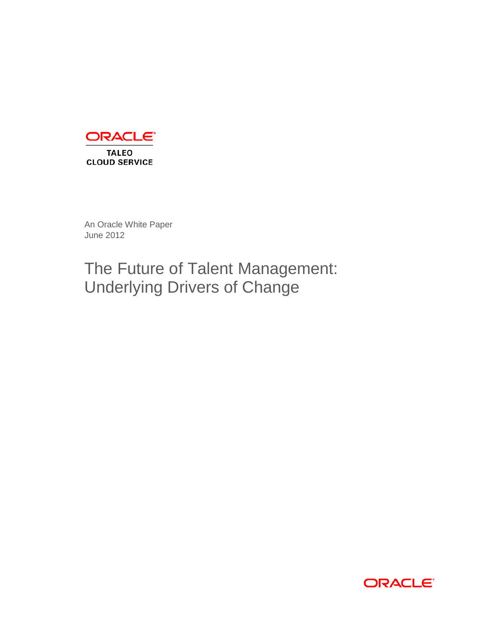

An Oracle White Paper June 2012

# The Future of Talent Management: Underlying Drivers of Change

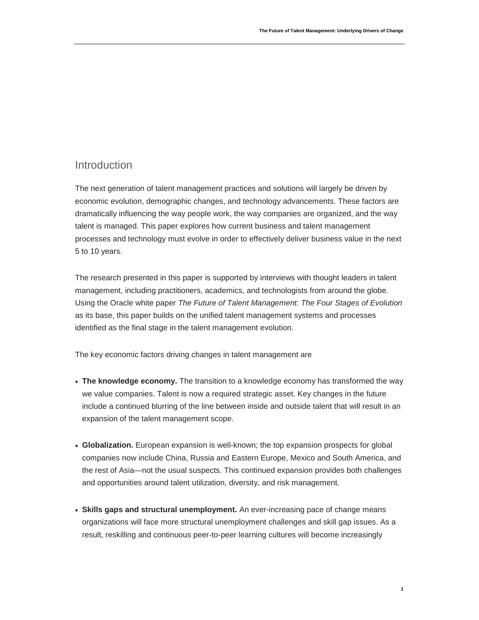### Introduction

The next generation of talent management practices and solutions will largely be driven by economic evolution, demographic changes, and technology advancements. These factors are dramatically influencing the way people work, the way companies are organized, and the way talent is managed. This paper explores how current business and talent management processes and technology must evolve in order to effectively deliver business value in the next 5 to 10 years.

The research presented in this paper is supported by interviews with thought leaders in talent management, including practitioners, academics, and technologists from around the globe. Using the Oracle white paper *The Future of Talent Management: The Four Stages of Evolution* as its base, this paper builds on the unified talent management systems and processes identified as the final stage in the talent management evolution.

The key economic factors driving changes in talent management are

- **The knowledge economy.** The transition to a knowledge economy has transformed the way we value companies. Talent is now a required strategic asset. Key changes in the future include a continued blurring of the line between inside and outside talent that will result in an expansion of the talent management scope.
- **Globalization.** European expansion is well-known; the top expansion prospects for global companies now include China, Russia and Eastern Europe, Mexico and South America, and the rest of Asia—not the usual suspects. This continued expansion provides both challenges and opportunities around talent utilization, diversity, and risk management.
- **Skills gaps and structural unemployment.** An ever-increasing pace of change means organizations will face more structural unemployment challenges and skill gap issues. As a result, reskilling and continuous peer-to-peer learning cultures will become increasingly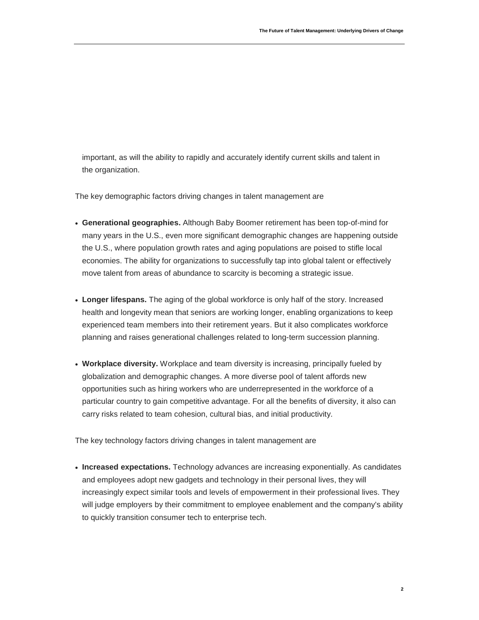important, as will the ability to rapidly and accurately identify current skills and talent in the organization.

The key demographic factors driving changes in talent management are

- **Generational geographies.** Although Baby Boomer retirement has been top-of-mind for many years in the U.S., even more significant demographic changes are happening outside the U.S., where population growth rates and aging populations are poised to stifle local economies. The ability for organizations to successfully tap into global talent or effectively move talent from areas of abundance to scarcity is becoming a strategic issue.
- **Longer lifespans.** The aging of the global workforce is only half of the story. Increased health and longevity mean that seniors are working longer, enabling organizations to keep experienced team members into their retirement years. But it also complicates workforce planning and raises generational challenges related to long-term succession planning.
- **Workplace diversity.** Workplace and team diversity is increasing, principally fueled by globalization and demographic changes. A more diverse pool of talent affords new opportunities such as hiring workers who are underrepresented in the workforce of a particular country to gain competitive advantage. For all the benefits of diversity, it also can carry risks related to team cohesion, cultural bias, and initial productivity.

The key technology factors driving changes in talent management are

• **Increased expectations.** Technology advances are increasing exponentially. As candidates and employees adopt new gadgets and technology in their personal lives, they will increasingly expect similar tools and levels of empowerment in their professional lives. They will judge employers by their commitment to employee enablement and the company's ability to quickly transition consumer tech to enterprise tech.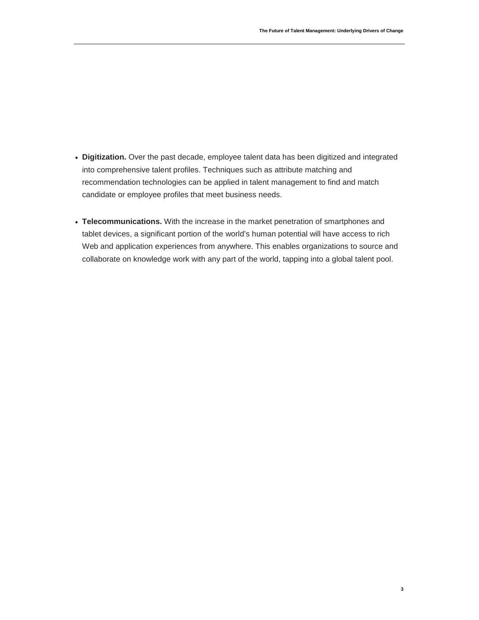- **Digitization.** Over the past decade, employee talent data has been digitized and integrated into comprehensive talent profiles. Techniques such as attribute matching and recommendation technologies can be applied in talent management to find and match candidate or employee profiles that meet business needs.
- **Telecommunications.** With the increase in the market penetration of smartphones and tablet devices, a significant portion of the world's human potential will have access to rich Web and application experiences from anywhere. This enables organizations to source and collaborate on knowledge work with any part of the world, tapping into a global talent pool.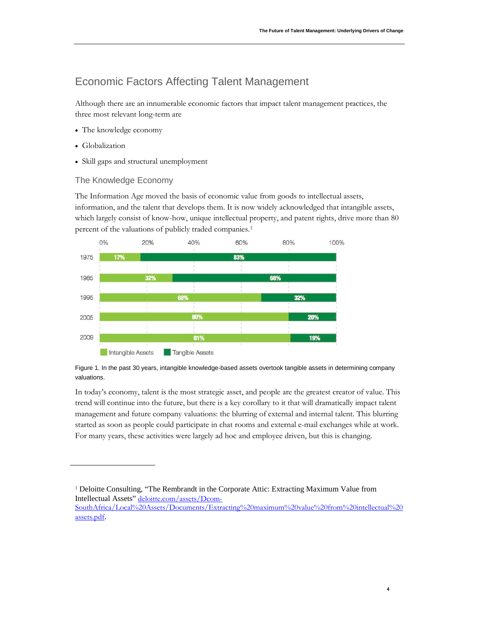# Economic Factors Affecting Talent Management

Although there are an innumerable economic factors that impact talent management practices, the three most relevant long-term are

- The knowledge economy
- Globalization
- Skill gaps and structural unemployment

### The Knowledge Economy

The Information Age moved the basis of economic value from goods to intellectual assets, information, and the talent that develops them. It is now widely acknowledged that intangible assets, which largely consist of know-how, unique intellectual property, and patent rights, drive more than 80 percent of the valuations of publicly traded companies.<sup>[1](#page-5-0)</sup>



Figure 1. In the past 30 years, intangible knowledge-based assets overtook tangible assets in determining company valuations.

In today's economy, talent is the most strategic asset, and people are the greatest creator of value. This trend will continue into the future, but there is a key corollary to it that will dramatically impact talent management and future company valuations: the blurring of external and internal talent. This blurring started as soon as people could participate in chat rooms and external e-mail exchanges while at work. For many years, these activities were largely ad hoc and employee driven, but this is changing.

<span id="page-5-0"></span><sup>1</sup> Deloitte Consulting, "The Rembrandt in the Corporate Attic: Extracting Maximum Value from Intellectual Assets" [deloitte.com/assets/Dcom-](http://www.deloitte.com/assets/Dcom-SouthAfrica/Local%20Assets/Documents/Extracting%20maximum%20value%20from%20intellectual%20assets.pdf)[SouthAfrica/Local%20Assets/Documents/Extracting%20maximum%20value%20from%20intellectual%20](http://www.deloitte.com/assets/Dcom-SouthAfrica/Local%20Assets/Documents/Extracting%20maximum%20value%20from%20intellectual%20assets.pdf) [assets.pdf](http://www.deloitte.com/assets/Dcom-SouthAfrica/Local%20Assets/Documents/Extracting%20maximum%20value%20from%20intellectual%20assets.pdf).

**4**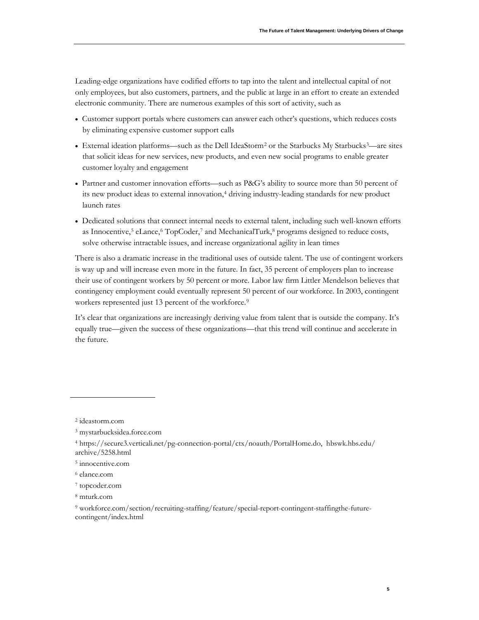Leading-edge organizations have codified efforts to tap into the talent and intellectual capital of not only employees, but also customers, partners, and the public at large in an effort to create an extended electronic community. There are numerous examples of this sort of activity, such as

- Customer support portals where customers can answer each other's questions, which reduces costs by eliminating expensive customer support calls
- External ideation platforms—such as the Dell IdeaStorm[2](#page-6-0) or the Starbucks My Starbucks[3](#page-6-1) —are sites that solicit ideas for new services, new products, and even new social programs to enable greater customer loyalty and engagement
- Partner and customer innovation efforts—such as P&G's ability to source more than 50 percent of its new product ideas to external innovation, [4](#page-6-2) driving industry-leading standards for new product launch rates
- Dedicated solutions that connect internal needs to external talent, including such well-known efforts as Innocentive,<sup>[5](#page-6-3)</sup> eLance,<sup>[6](#page-6-4)</sup> TopCoder,<sup>[7](#page-6-5)</sup> and MechanicalTurk,<sup>[8](#page-6-6)</sup> programs designed to reduce costs, solve otherwise intractable issues, and increase organizational agility in lean times

There is also a dramatic increase in the traditional uses of outside talent. The use of contingent workers is way up and will increase even more in the future. In fact, 35 percent of employers plan to increase their use of contingent workers by 50 percent or more. Labor law firm Littler Mendelson believes that contingency employment could eventually represent 50 percent of our workforce. In 2003, contingent workers represented just 13 percent of the workforce.<sup>[9](#page-6-7)</sup>

It's clear that organizations are increasingly deriving value from talent that is outside the company. It's equally true—given the success of these organizations—that this trend will continue and accelerate in the future.

<span id="page-6-0"></span><sup>2</sup> ideastorm.com

<span id="page-6-1"></span><sup>3</sup> mystarbucksidea.force.com

<span id="page-6-2"></span><sup>4</sup> https://secure3.verticali.net/pg-connection-portal/ctx/noauth/PortalHome.do, hbswk.hbs.edu/ archive/5258.html

<span id="page-6-3"></span><sup>5</sup> innocentive.com

<span id="page-6-4"></span><sup>6</sup> elance.com

<span id="page-6-5"></span><sup>7</sup> topcoder.com

<span id="page-6-6"></span><sup>8</sup> mturk.com

<span id="page-6-7"></span><sup>9</sup> workforce.com/section/recruiting-staffing/feature/special-report-contingent-staffingthe-futurecontingent/index.html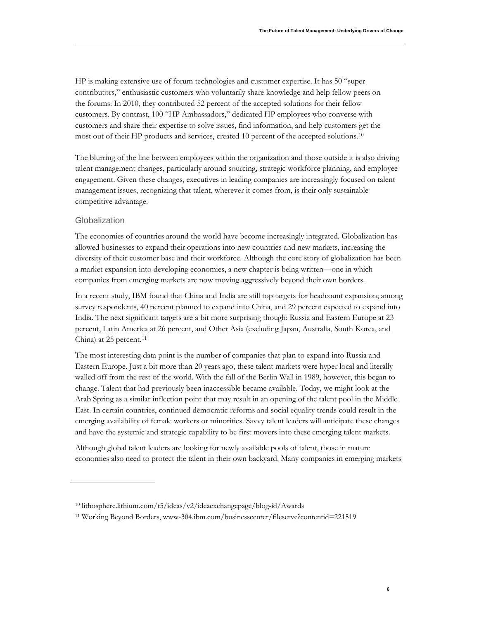HP is making extensive use of forum technologies and customer expertise. It has 50 "super contributors," enthusiastic customers who voluntarily share knowledge and help fellow peers on the forums. In 2010, they contributed 52 percent of the accepted solutions for their fellow customers. By contrast, 100 "HP Ambassadors," dedicated HP employees who converse with customers and share their expertise to solve issues, find information, and help customers get the most out of their HP products and services, created 10 percent of the accepted solutions.[10](#page-7-1)

The blurring of the line between employees within the organization and those outside it is also driving talent management changes, particularly around sourcing, strategic workforce planning, and employee engagement. Given these changes, executives in leading companies are increasingly focused on talent management issues, recognizing that talent, wherever it comes from, is their only sustainable competitive advantage.

#### **Globalization**

The economies of countries around the world have become increasingly integrated. Globalization has allowed businesses to expand their operations into new countries and new markets, increasing the diversity of their customer base and their workforce. Although the core story of globalization has been a market expansion into developing economies, a new chapter is being written—one in which companies from emerging markets are now moving aggressively beyond their own borders.

In a recent study, IBM found that China and India are still top targets for headcount expansion; among survey respondents, 40 percent planned to expand into China, and 29 percent expected to expand into India. The next significant targets are a bit more surprising though: Russia and Eastern Europe at 23 percent, Latin America at 26 percent, and Other Asia (excluding Japan, Australia, South Korea, and China) at 25 percent.<sup>[11](#page-7-0)</sup>

The most interesting data point is the number of companies that plan to expand into Russia and Eastern Europe. Just a bit more than 20 years ago, these talent markets were hyper local and literally walled off from the rest of the world. With the fall of the Berlin Wall in 1989, however, this began to change. Talent that had previously been inaccessible became available. Today, we might look at the Arab Spring as a similar inflection point that may result in an opening of the talent pool in the Middle East. In certain countries, continued democratic reforms and social equality trends could result in the emerging availability of female workers or minorities. Savvy talent leaders will anticipate these changes and have the systemic and strategic capability to be first movers into these emerging talent markets.

Although global talent leaders are looking for newly available pools of talent, those in mature economies also need to protect the talent in their own backyard. Many companies in emerging markets

<span id="page-7-1"></span><sup>10</sup> lithosphere.lithium.com/t5/ideas/v2/ideaexchangepage/blog-id/Awards

<span id="page-7-0"></span><sup>11</sup> Working Beyond Borders, www-304.ibm.com/businesscenter/fileserve?contentid=221519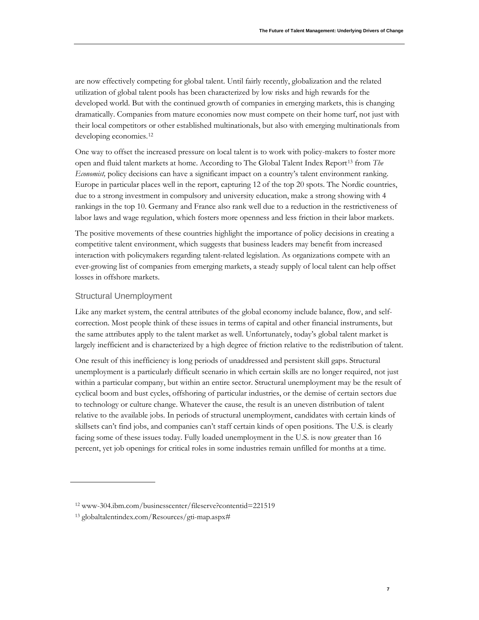are now effectively competing for global talent. Until fairly recently, globalization and the related utilization of global talent pools has been characterized by low risks and high rewards for the developed world. But with the continued growth of companies in emerging markets, this is changing dramatically. Companies from mature economies now must compete on their home turf, not just with their local competitors or other established multinationals, but also with emerging multinationals from developing economies.<sup>12</sup>

One way to offset the increased pressure on local talent is to work with policy-makers to foster more open and fluid talent markets at home. According to The Global Talent Index Report<sup>[13](#page-8-1)</sup> from The *Economist,* policy decisions can have a significant impact on a country's talent environment ranking. Europe in particular places well in the report, capturing 12 of the top 20 spots. The Nordic countries, due to a strong investment in compulsory and university education, make a strong showing with 4 rankings in the top 10. Germany and France also rank well due to a reduction in the restrictiveness of labor laws and wage regulation, which fosters more openness and less friction in their labor markets.

The positive movements of these countries highlight the importance of policy decisions in creating a competitive talent environment, which suggests that business leaders may benefit from increased interaction with policymakers regarding talent-related legislation. As organizations compete with an ever-growing list of companies from emerging markets, a steady supply of local talent can help offset losses in offshore markets.

### Structural Unemployment

Like any market system, the central attributes of the global economy include balance, flow, and selfcorrection. Most people think of these issues in terms of capital and other financial instruments, but the same attributes apply to the talent market as well. Unfortunately, today's global talent market is largely inefficient and is characterized by a high degree of friction relative to the redistribution of talent.

One result of this inefficiency is long periods of unaddressed and persistent skill gaps. Structural unemployment is a particularly difficult scenario in which certain skills are no longer required, not just within a particular company, but within an entire sector. Structural unemployment may be the result of cyclical boom and bust cycles, offshoring of particular industries, or the demise of certain sectors due to technology or culture change. Whatever the cause, the result is an uneven distribution of talent relative to the available jobs. In periods of structural unemployment, candidates with certain kinds of skillsets can't find jobs, and companies can't staff certain kinds of open positions. The U.S. is clearly facing some of these issues today. Fully loaded unemployment in the U.S. is now greater than 16 percent, yet job openings for critical roles in some industries remain unfilled for months at a time.

<span id="page-8-1"></span>13 globaltalentindex.com/Resources/gti-map.aspx#

<span id="page-8-0"></span><sup>12</sup> www-304.ibm.com/businesscenter/fileserve?contentid=221519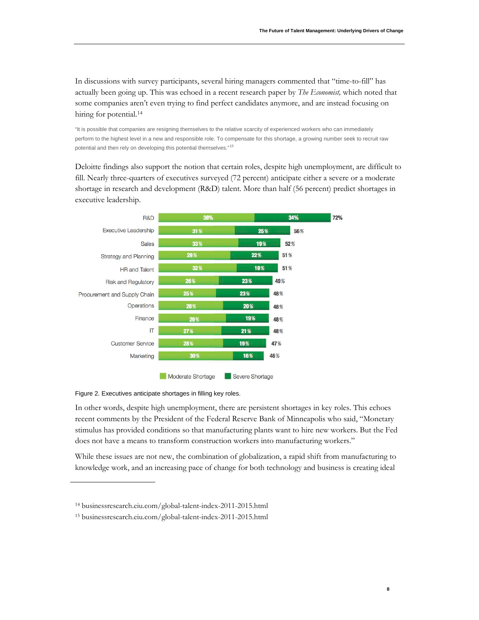**8**

In discussions with survey participants, several hiring managers commented that "time-to-fill" has actually been going up. This was echoed in a recent research paper by *The Economist,* which noted that some companies aren't even trying to find perfect candidates anymore, and are instead focusing on hiring for potential.<sup>[14](#page-9-0)</sup>

"It is possible that companies are resigning themselves to the relative scarcity of experienced workers who can immediately perform to the highest level in a new and responsible role. To compensate for this shortage, a growing number seek to recruit raw potential and then rely on developing this potential themselves."<sup>[15](#page-9-1)</sup>

Deloitte findings also support the notion that certain roles, despite high unemployment, are difficult to fill. Nearly three-quarters of executives surveyed (72 percent) anticipate either a severe or a moderate shortage in research and development (R&D) talent. More than half (56 percent) predict shortages in executive leadership.



Figure 2. Executives anticipate shortages in filling key roles.

In other words, despite high unemployment, there are persistent shortages in key roles. This echoes recent comments by the President of the Federal Reserve Bank of Minneapolis who said, "Monetary stimulus has provided conditions so that manufacturing plants want to hire new workers. But the Fed does not have a means to transform construction workers into manufacturing workers."

While these issues are not new, the combination of globalization, a rapid shift from manufacturing to knowledge work, and an increasing pace of change for both technology and business is creating ideal

<span id="page-9-0"></span><sup>14</sup> businessresearch.eiu.com/global-talent-index-2011-2015.html

<span id="page-9-1"></span><sup>15</sup> businessresearch.eiu.com/global-talent-index-2011-2015.html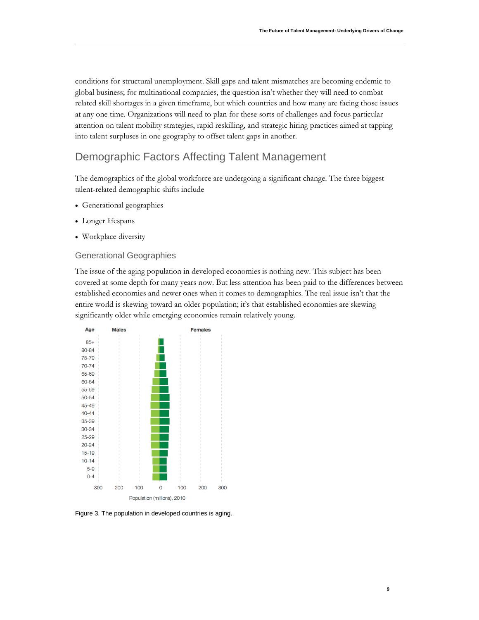**9**

conditions for structural unemployment. Skill gaps and talent mismatches are becoming endemic to global business; for multinational companies, the question isn't whether they will need to combat related skill shortages in a given timeframe, but which countries and how many are facing those issues at any one time. Organizations will need to plan for these sorts of challenges and focus particular attention on talent mobility strategies, rapid reskilling, and strategic hiring practices aimed at tapping into talent surpluses in one geography to offset talent gaps in another.

## Demographic Factors Affecting Talent Management

The demographics of the global workforce are undergoing a significant change. The three biggest talent-related demographic shifts include

- Generational geographies
- Longer lifespans
- Workplace diversity

#### Generational Geographies

The issue of the aging population in developed economies is nothing new. This subject has been covered at some depth for many years now. But less attention has been paid to the differences between established economies and newer ones when it comes to demographics. The real issue isn't that the entire world is skewing toward an older population; it's that established economies are skewing significantly older while emerging economies remain relatively young.



Figure 3. The population in developed countries is aging.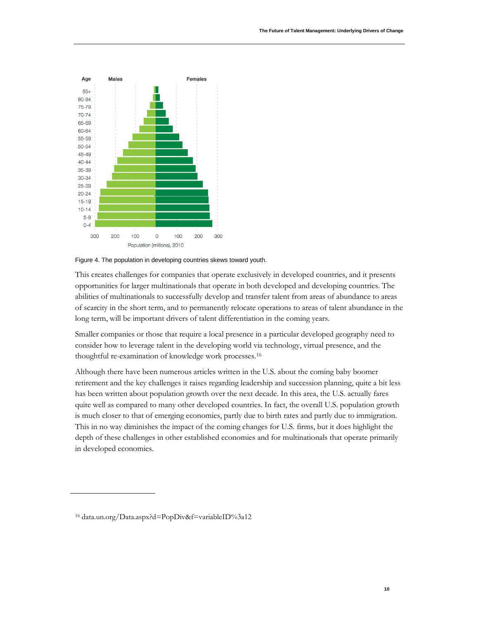

Figure 4. The population in developing countries skews toward youth.

This creates challenges for companies that operate exclusively in developed countries, and it presents opportunities for larger multinationals that operate in both developed and developing countries. The abilities of multinationals to successfully develop and transfer talent from areas of abundance to areas of scarcity in the short term, and to permanently relocate operations to areas of talent abundance in the long term, will be important drivers of talent differentiation in the coming years.

Smaller companies or those that require a local presence in a particular developed geography need to consider how to leverage talent in the developing world via technology, virtual presence, and the thoughtful re-examination of knowledge work processes.[16](#page-11-0)

Although there have been numerous articles written in the U.S. about the coming baby boomer retirement and the key challenges it raises regarding leadership and succession planning, quite a bit less has been written about population growth over the next decade. In this area, the U.S. actually fares quite well as compared to many other developed countries. In fact, the overall U.S. population growth is much closer to that of emerging economies, partly due to birth rates and partly due to immigration. This in no way diminishes the impact of the coming changes for U.S. firms, but it does highlight the depth of these challenges in other established economies and for multinationals that operate primarily in developed economies.

<span id="page-11-0"></span><sup>16</sup> data.un.org/Data.aspx?d=PopDiv&f=variableID%3a12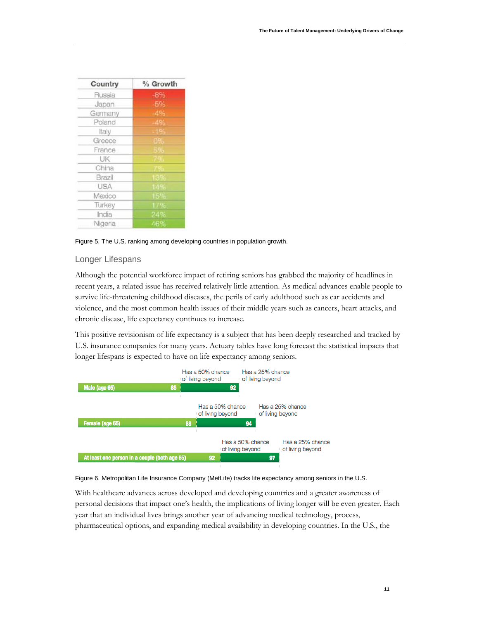| Country    | % Growth |
|------------|----------|
| Russia     | $-8%$    |
| Japan      | -5%      |
| Germany    | $-4%$    |
| Poland     | $-496$   |
| Italy      | $-1%$    |
| Greece     | 09.      |
| France     | 596      |
| UK         |          |
| China      |          |
| Brazil     | icu      |
| <b>USA</b> |          |
| Mexico     | 15%      |
| Turkey     | 17%      |
| India      | 24%      |
| Nigeria    | 46%      |

Figure 5. The U.S. ranking among developing countries in population growth.

### Longer Lifespans

Although the potential workforce impact of retiring seniors has grabbed the majority of headlines in recent years, a related issue has received relatively little attention. As medical advances enable people to survive life-threatening childhood diseases, the perils of early adulthood such as car accidents and violence, and the most common health issues of their middle years such as cancers, heart attacks, and chronic disease, life expectancy continues to increase.

This positive revisionism of life expectancy is a subject that has been deeply researched and tracked by U.S. insurance companies for many years. Actuary tables have long forecast the statistical impacts that longer lifespans is expected to have on life expectancy among seniors.



#### Figure 6. Metropolitan Life Insurance Company (MetLife) tracks life expectancy among seniors in the U.S.

With healthcare advances across developed and developing countries and a greater awareness of personal decisions that impact one's health, the implications of living longer will be even greater. Each year that an individual lives brings another year of advancing medical technology, process, pharmaceutical options, and expanding medical availability in developing countries. In the U.S., the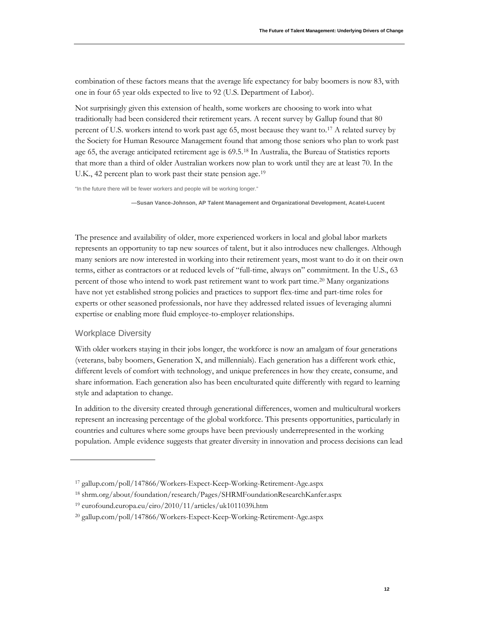combination of these factors means that the average life expectancy for baby boomers is now 83, with one in four 65 year olds expected to live to 92 (U.S. Department of Labor).

Not surprisingly given this extension of health, some workers are choosing to work into what traditionally had been considered their retirement years. A recent survey by Gallup found that 80 percent of U.S. workers intend to work past age 65, most because they want to.[17](#page-13-0) A related survey by the Society for Human Resource Management found that among those seniors who plan to work past age 65, the average anticipated retirement age is 69.5.<sup>[18](#page-13-1)</sup> In Australia, the Bureau of Statistics reports that more than a third of older Australian workers now plan to work until they are at least 70. In the U.K., 42 percent plan to work past their state pension age.[19](#page-13-2)

"In the future there will be fewer workers and people will be working longer."

**—Susan Vance-Johnson, AP Talent Management and Organizational Development, Acatel-Lucent**

The presence and availability of older, more experienced workers in local and global labor markets represents an opportunity to tap new sources of talent, but it also introduces new challenges. Although many seniors are now interested in working into their retirement years, most want to do it on their own terms, either as contractors or at reduced levels of "full-time, always on" commitment. In the U.S., 63 percent of those who intend to work past retirement want to work part time.<sup>[20](#page-13-3)</sup> Many organizations have not yet established strong policies and practices to support flex-time and part-time roles for experts or other seasoned professionals, nor have they addressed related issues of leveraging alumni expertise or enabling more fluid employee-to-employer relationships.

#### Workplace Diversity

With older workers staying in their jobs longer, the workforce is now an amalgam of four generations (veterans, baby boomers, Generation X, and millennials). Each generation has a different work ethic, different levels of comfort with technology, and unique preferences in how they create, consume, and share information. Each generation also has been enculturated quite differently with regard to learning style and adaptation to change.

In addition to the diversity created through generational differences, women and multicultural workers represent an increasing percentage of the global workforce. This presents opportunities, particularly in countries and cultures where some groups have been previously underrepresented in the working population. Ample evidence suggests that greater diversity in innovation and process decisions can lead

<span id="page-13-0"></span><sup>17</sup> gallup.com/poll/147866/Workers-Expect-Keep-Working-Retirement-Age.aspx

<span id="page-13-1"></span><sup>18</sup> shrm.org/about/foundation/research/Pages/SHRMFoundationResearchKanfer.aspx

<span id="page-13-2"></span><sup>19</sup> eurofound.europa.eu/eiro/2010/11/articles/uk1011039i.htm

<span id="page-13-3"></span><sup>20</sup> gallup.com/poll/147866/Workers-Expect-Keep-Working-Retirement-Age.aspx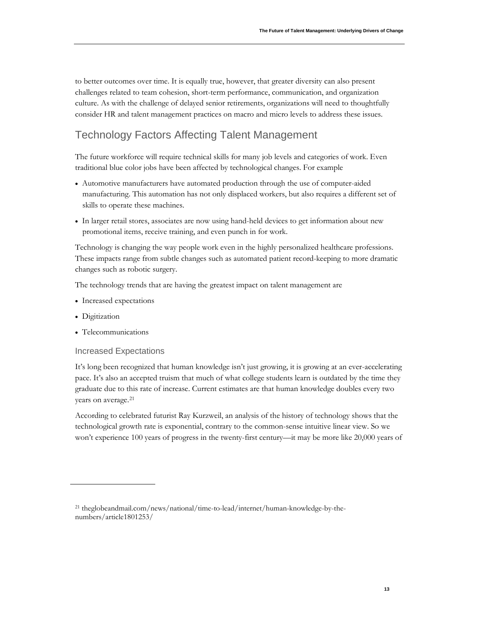to better outcomes over time. It is equally true, however, that greater diversity can also present challenges related to team cohesion, short-term performance, communication, and organization culture. As with the challenge of delayed senior retirements, organizations will need to thoughtfully consider HR and talent management practices on macro and micro levels to address these issues.

# Technology Factors Affecting Talent Management

The future workforce will require technical skills for many job levels and categories of work. Even traditional blue color jobs have been affected by technological changes. For example

- Automotive manufacturers have automated production through the use of computer-aided manufacturing. This automation has not only displaced workers, but also requires a different set of skills to operate these machines.
- In larger retail stores, associates are now using hand-held devices to get information about new promotional items, receive training, and even punch in for work.

Technology is changing the way people work even in the highly personalized healthcare professions. These impacts range from subtle changes such as automated patient record-keeping to more dramatic changes such as robotic surgery.

The technology trends that are having the greatest impact on talent management are

- Increased expectations
- Digitization
- Telecommunications

#### Increased Expectations

It's long been recognized that human knowledge isn't just growing, it is growing at an ever-accelerating pace. It's also an accepted truism that much of what college students learn is outdated by the time they graduate due to this rate of increase. Current estimates are that human knowledge doubles every two years on average.<sup>21</sup>

According to celebrated futurist Ray Kurzweil, an analysis of the history of technology shows that the technological growth rate is exponential, contrary to the common-sense intuitive linear view. So we won't experience 100 years of progress in the twenty-first century—it may be more like 20,000 years of

<span id="page-14-0"></span><sup>21</sup> theglobeandmail.com/news/national/time-to-lead/internet/human-knowledge-by-thenumbers/article1801253/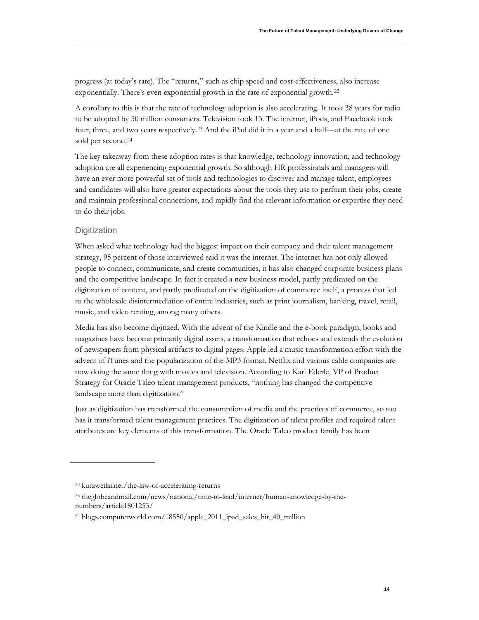progress (at today's rate). The "returns," such as chip speed and cost-effectiveness, also increase exponentially. There's even exponential growth in the rate of exponential growth.[22](#page-15-0)

A corollary to this is that the rate of technology adoption is also accelerating. It took 38 years for radio to be adopted by 50 million consumers. Television took 13. The internet, iPods, and Facebook took four, three, and two years respectively[.23](#page-15-1) And the iPad did it in a year and a half—at the rate of one sold per second.[24](#page-15-2)

The key takeaway from these adoption rates is that knowledge, technology innovation, and technology adoption are all experiencing exponential growth. So although HR professionals and managers will have an ever more powerful set of tools and technologies to discover and manage talent, employees and candidates will also have greater expectations about the tools they use to perform their jobs, create and maintain professional connections, and rapidly find the relevant information or expertise they need to do their jobs.

### **Digitization**

When asked what technology had the biggest impact on their company and their talent management strategy, 95 percent of those interviewed said it was the internet. The internet has not only allowed people to connect, communicate, and create communities, it has also changed corporate business plans and the competitive landscape. In fact it created a new business model, partly predicated on the digitization of content, and partly predicated on the digitization of commerce itself, a process that led to the wholesale disintermediation of entire industries, such as print journalism, banking, travel, retail, music, and video renting, among many others.

Media has also become digitized. With the advent of the Kindle and the e-book paradigm, books and magazines have become primarily digital assets, a transformation that echoes and extends the evolution of newspapers from physical artifacts to digital pages. Apple led a music transformation effort with the advent of iTunes and the popularization of the MP3 format. Netflix and various cable companies are now doing the same thing with movies and television. According to Karl Ederle, VP of Product Strategy for Oracle Taleo talent management products, "nothing has changed the competitive landscape more than digitization."

Just as digitization has transformed the consumption of media and the practices of commerce, so too has it transformed talent management practices. The digitization of talent profiles and required talent attributes are key elements of this transformation. The Oracle Taleo product family has been

<span id="page-15-0"></span><sup>22</sup> kurzweilai.net/the-law-of-accelerating-returns

<span id="page-15-1"></span><sup>23</sup> theglobeandmail.com/news/national/time-to-lead/internet/human-knowledge-by-thenumbers/article1801253/

<span id="page-15-2"></span><sup>24</sup> blogs.computerworld.com/18550/apple\_2011\_ipad\_sales\_hit\_40\_million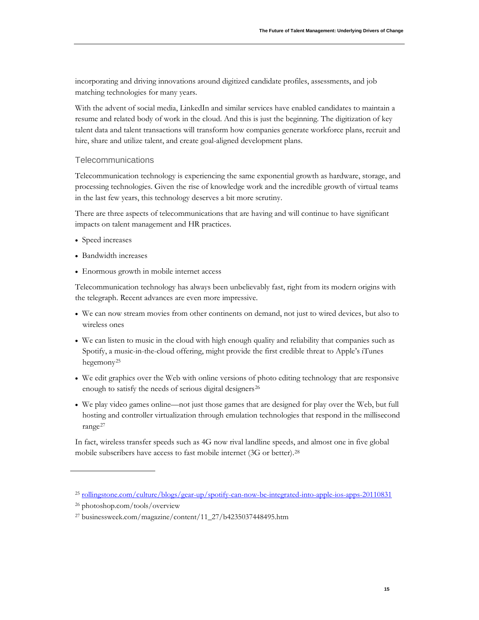incorporating and driving innovations around digitized candidate profiles, assessments, and job matching technologies for many years.

With the advent of social media, LinkedIn and similar services have enabled candidates to maintain a resume and related body of work in the cloud. And this is just the beginning. The digitization of key talent data and talent transactions will transform how companies generate workforce plans, recruit and hire, share and utilize talent, and create goal-aligned development plans.

#### Telecommunications

Telecommunication technology is experiencing the same exponential growth as hardware, storage, and processing technologies. Given the rise of knowledge work and the incredible growth of virtual teams in the last few years, this technology deserves a bit more scrutiny.

There are three aspects of telecommunications that are having and will continue to have significant impacts on talent management and HR practices.

- Speed increases
- Bandwidth increases
- Enormous growth in mobile internet access

Telecommunication technology has always been unbelievably fast, right from its modern origins with the telegraph. Recent advances are even more impressive.

- We can now stream movies from other continents on demand, not just to wired devices, but also to wireless ones
- We can listen to music in the cloud with high enough quality and reliability that companies such as Spotify, a music-in-the-cloud offering, might provide the first credible threat to Apple's iTunes hegemony[25](#page-16-0)
- We edit graphics over the Web with online versions of photo editing technology that are responsive enough to satisfy the needs of serious digital designers<sup>[26](#page-16-1)</sup>
- We play video games online—not just those games that are designed for play over the Web, but full hosting and controller virtualization through emulation technologies that respond in the millisecond range[27](#page-16-2)

In fact, wireless transfer speeds such as 4G now rival landline speeds, and almost one in five global mobile subscribers have access to fast mobile internet (3G or better).[28](#page-16-3)

<span id="page-16-3"></span><span id="page-16-0"></span><sup>25</sup> [rollingstone.com/culture/blogs/gear-up/spotify-can-now-be-integrated-into-apple-ios-apps-20110831](http://www.rollingstone.com/culture/blogs/gear-up/spotify-can-now-be-integrated-into-apple-ios-apps-20110831)

<span id="page-16-1"></span><sup>26</sup> photoshop.com/tools/overview

<span id="page-16-2"></span><sup>27</sup> businessweek.com/magazine/content/11\_27/b4235037448495.htm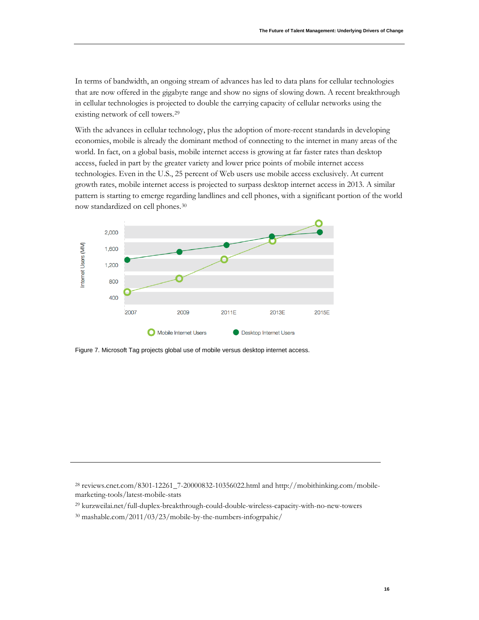In terms of bandwidth, an ongoing stream of advances has led to data plans for cellular technologies that are now offered in the gigabyte range and show no signs of slowing down. A recent breakthrough in cellular technologies is projected to double the carrying capacity of cellular networks using the existing network of cell towers.<sup>[29](#page-17-0)</sup>

With the advances in cellular technology, plus the adoption of more-recent standards in developing economies, mobile is already the dominant method of connecting to the internet in many areas of the world. In fact, on a global basis, mobile internet access is growing at far faster rates than desktop access, fueled in part by the greater variety and lower price points of mobile internet access technologies. Even in the U.S., 25 percent of Web users use mobile access exclusively. At current growth rates, mobile internet access is projected to surpass desktop internet access in 2013. A similar pattern is starting to emerge regarding landlines and cell phones, with a significant portion of the world now standardized on cell phones.[30](#page-17-1)



Figure 7. Microsoft Tag projects global use of mobile versus desktop internet access.

<sup>28</sup> reviews.cnet.com/8301-12261\_7-20000832-10356022.html and http://mobithinking.com/mobilemarketing-tools/latest-mobile-stats

<span id="page-17-0"></span><sup>29</sup> kurzweilai.net/full-duplex-breakthrough-could-double-wireless-capacity-with-no-new-towers

<span id="page-17-1"></span><sup>30</sup> mashable.com/2011/03/23/mobile-by-the-numbers-infogrpahic/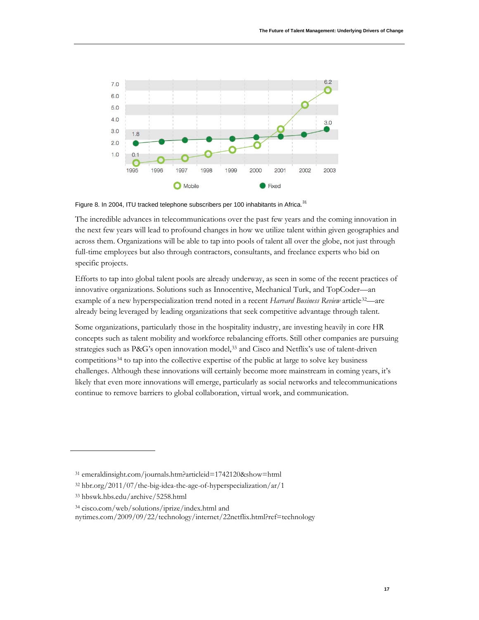

Figure 8. In 2004, ITU tracked telephone subscribers per 100 inhabitants in Africa.<sup>[31](#page-18-0)</sup>

The incredible advances in telecommunications over the past few years and the coming innovation in the next few years will lead to profound changes in how we utilize talent within given geographies and across them. Organizations will be able to tap into pools of talent all over the globe, not just through full-time employees but also through contractors, consultants, and freelance experts who bid on specific projects.

Efforts to tap into global talent pools are already underway, as seen in some of the recent practices of innovative organizations. Solutions such as Innocentive, Mechanical Turk, and TopCoder—an example of a new hyperspecialization trend noted in a recent Harvard Business Review article<sup>32</sup>-are already being leveraged by leading organizations that seek competitive advantage through talent.

Some organizations, particularly those in the hospitality industry, are investing heavily in core HR concepts such as talent mobility and workforce rebalancing efforts. Still other companies are pursuing strategies such as P&G's open innovation model, [33](#page-18-2) and Cisco and Netflix's use of talent-driven competitions<sup>[34](#page-18-3)</sup> to tap into the collective expertise of the public at large to solve key business challenges. Although these innovations will certainly become more mainstream in coming years, it's likely that even more innovations will emerge, particularly as social networks and telecommunications continue to remove barriers to global collaboration, virtual work, and communication.

<span id="page-18-0"></span><sup>31</sup> emeraldinsight.com/journals.htm?articleid=1742120&show=html

<span id="page-18-1"></span><sup>32</sup> hbr.org/2011/07/the-big-idea-the-age-of-hyperspecialization/ar/1

<span id="page-18-2"></span><sup>33</sup> hbswk.hbs.edu/archive/5258.html

<span id="page-18-3"></span><sup>34</sup> cisco.com/web/solutions/iprize/index.html and

nytimes.com/2009/09/22/technology/internet/22netflix.html?ref=technology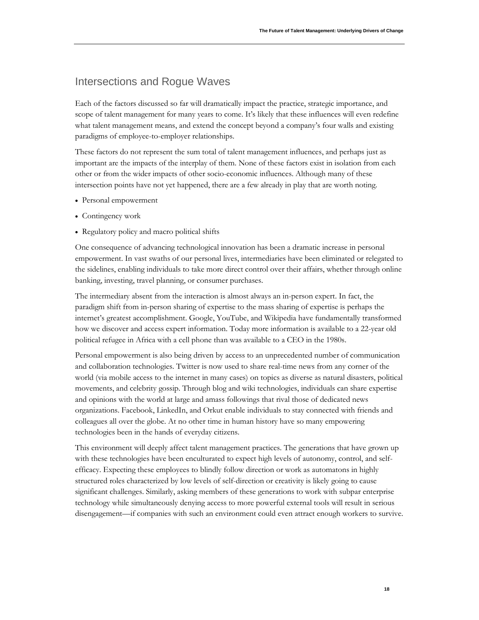### Intersections and Rogue Waves

Each of the factors discussed so far will dramatically impact the practice, strategic importance, and scope of talent management for many years to come. It's likely that these influences will even redefine what talent management means, and extend the concept beyond a company's four walls and existing paradigms of employee-to-employer relationships.

These factors do not represent the sum total of talent management influences, and perhaps just as important are the impacts of the interplay of them. None of these factors exist in isolation from each other or from the wider impacts of other socio-economic influences. Although many of these intersection points have not yet happened, there are a few already in play that are worth noting.

- Personal empowerment
- Contingency work
- Regulatory policy and macro political shifts

One consequence of advancing technological innovation has been a dramatic increase in personal empowerment. In vast swaths of our personal lives, intermediaries have been eliminated or relegated to the sidelines, enabling individuals to take more direct control over their affairs, whether through online banking, investing, travel planning, or consumer purchases.

The intermediary absent from the interaction is almost always an in-person expert. In fact, the paradigm shift from in-person sharing of expertise to the mass sharing of expertise is perhaps the internet's greatest accomplishment. Google, YouTube, and Wikipedia have fundamentally transformed how we discover and access expert information. Today more information is available to a 22-year old political refugee in Africa with a cell phone than was available to a CEO in the 1980s.

Personal empowerment is also being driven by access to an unprecedented number of communication and collaboration technologies. Twitter is now used to share real-time news from any corner of the world (via mobile access to the internet in many cases) on topics as diverse as natural disasters, political movements, and celebrity gossip. Through blog and wiki technologies, individuals can share expertise and opinions with the world at large and amass followings that rival those of dedicated news organizations. Facebook, LinkedIn, and Orkut enable individuals to stay connected with friends and colleagues all over the globe. At no other time in human history have so many empowering technologies been in the hands of everyday citizens.

This environment will deeply affect talent management practices. The generations that have grown up with these technologies have been enculturated to expect high levels of autonomy, control, and selfefficacy. Expecting these employees to blindly follow direction or work as automatons in highly structured roles characterized by low levels of self-direction or creativity is likely going to cause significant challenges. Similarly, asking members of these generations to work with subpar enterprise technology while simultaneously denying access to more powerful external tools will result in serious disengagement—if companies with such an environment could even attract enough workers to survive.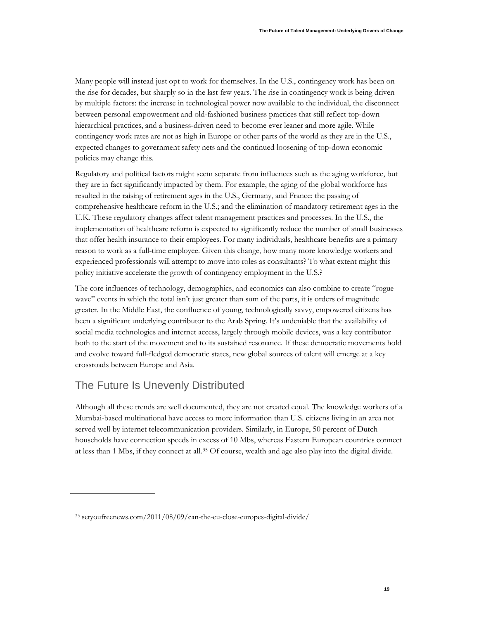Many people will instead just opt to work for themselves. In the U.S., contingency work has been on the rise for decades, but sharply so in the last few years. The rise in contingency work is being driven by multiple factors: the increase in technological power now available to the individual, the disconnect between personal empowerment and old-fashioned business practices that still reflect top-down hierarchical practices, and a business-driven need to become ever leaner and more agile. While contingency work rates are not as high in Europe or other parts of the world as they are in the U.S., expected changes to government safety nets and the continued loosening of top-down economic policies may change this.

Regulatory and political factors might seem separate from influences such as the aging workforce, but they are in fact significantly impacted by them. For example, the aging of the global workforce has resulted in the raising of retirement ages in the U.S., Germany, and France; the passing of comprehensive healthcare reform in the U.S.; and the elimination of mandatory retirement ages in the U.K. These regulatory changes affect talent management practices and processes. In the U.S., the implementation of healthcare reform is expected to significantly reduce the number of small businesses that offer health insurance to their employees. For many individuals, healthcare benefits are a primary reason to work as a full-time employee. Given this change, how many more knowledge workers and experienced professionals will attempt to move into roles as consultants? To what extent might this policy initiative accelerate the growth of contingency employment in the U.S.?

The core influences of technology, demographics, and economics can also combine to create "rogue wave" events in which the total isn't just greater than sum of the parts, it is orders of magnitude greater. In the Middle East, the confluence of young, technologically savvy, empowered citizens has been a significant underlying contributor to the Arab Spring. It's undeniable that the availability of social media technologies and internet access, largely through mobile devices, was a key contributor both to the start of the movement and to its sustained resonance. If these democratic movements hold and evolve toward full-fledged democratic states, new global sources of talent will emerge at a key crossroads between Europe and Asia.

# The Future Is Unevenly Distributed

Although all these trends are well documented, they are not created equal. The knowledge workers of a Mumbai-based multinational have access to more information than U.S. citizens living in an area not served well by internet telecommunication providers. Similarly, in Europe, 50 percent of Dutch households have connection speeds in excess of 10 Mbs, whereas Eastern European countries connect at less than 1 Mbs, if they connect at all.<sup>[35](#page-20-0)</sup> Of course, wealth and age also play into the digital divide.

<span id="page-20-0"></span><sup>35</sup> setyoufreenews.com/2011/08/09/can-the-eu-close-europes-digital-divide/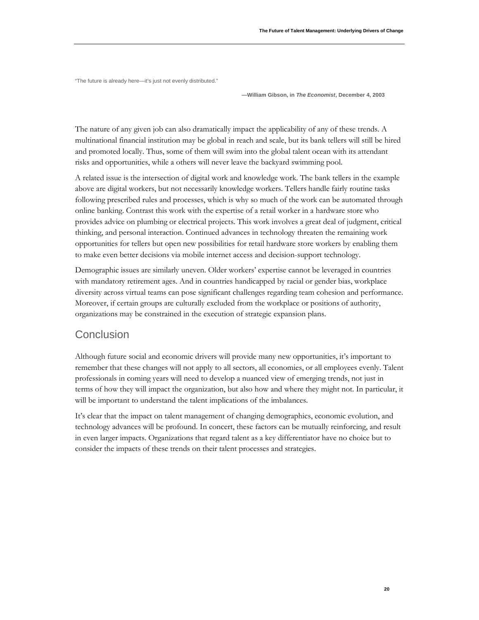"The future is already here—it's just not evenly distributed."

**—William Gibson, in** *The Economist***, December 4, 2003**

The nature of any given job can also dramatically impact the applicability of any of these trends. A multinational financial institution may be global in reach and scale, but its bank tellers will still be hired and promoted locally. Thus, some of them will swim into the global talent ocean with its attendant risks and opportunities, while a others will never leave the backyard swimming pool.

A related issue is the intersection of digital work and knowledge work. The bank tellers in the example above are digital workers, but not necessarily knowledge workers. Tellers handle fairly routine tasks following prescribed rules and processes, which is why so much of the work can be automated through online banking. Contrast this work with the expertise of a retail worker in a hardware store who provides advice on plumbing or electrical projects. This work involves a great deal of judgment, critical thinking, and personal interaction. Continued advances in technology threaten the remaining work opportunities for tellers but open new possibilities for retail hardware store workers by enabling them to make even better decisions via mobile internet access and decision-support technology.

Demographic issues are similarly uneven. Older workers' expertise cannot be leveraged in countries with mandatory retirement ages. And in countries handicapped by racial or gender bias, workplace diversity across virtual teams can pose significant challenges regarding team cohesion and performance. Moreover, if certain groups are culturally excluded from the workplace or positions of authority, organizations may be constrained in the execution of strategic expansion plans.

### **Conclusion**

Although future social and economic drivers will provide many new opportunities, it's important to remember that these changes will not apply to all sectors, all economies, or all employees evenly. Talent professionals in coming years will need to develop a nuanced view of emerging trends, not just in terms of how they will impact the organization, but also how and where they might not. In particular, it will be important to understand the talent implications of the imbalances.

It's clear that the impact on talent management of changing demographics, economic evolution, and technology advances will be profound. In concert, these factors can be mutually reinforcing, and result in even larger impacts. Organizations that regard talent as a key differentiator have no choice but to consider the impacts of these trends on their talent processes and strategies.